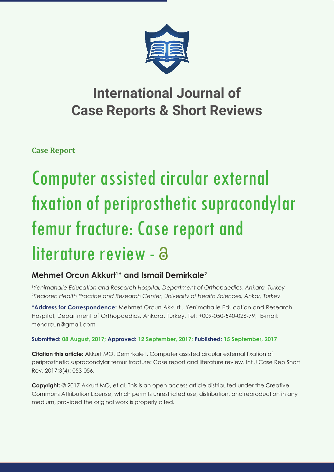

## **International Journal of Case Reports & Short Reviews**

**Case Report**

# Computer assisted circular external fixation of periprosthetic supracondylar femur fracture: Case report and literature review - a

### **Mehmet Orcun Akkurt1 \* and Ismail Demirkale2**

*1 Yenimahalle Education and Research Hospital, Department of Orthopaedics, Ankara, Turkey 2 Kecioren Health Practice and Research Center, University of Health Sciences, Ankar, Turkey*

**\*Address for Correspondence:** Mehmet Orcun Akkurt , Yenimahalle Education and Research Hospital, Department of Orthopaedics, Ankara, Turkey, Tel: +009-050-540-026-79; E-mail: mehorcun@gmail.com

#### **Submitted: 08 August, 2017; Approved: 12 September, 2017; Published: 15 September, 2017**

**Citation this article:** Akkurt MO, Demirkale I. Computer assisted circular external fixation of periprosthetic supracondylar femur fracture: Case report and literature review. Int J Case Rep Short Rev. 2017;3(4): 053-056.

**Copyright:** © 2017 Akkurt MO, et al. This is an open access article distributed under the Creative Commons Attribution License, which permits unrestricted use, distribution, and reproduction in any medium, provided the original work is properly cited.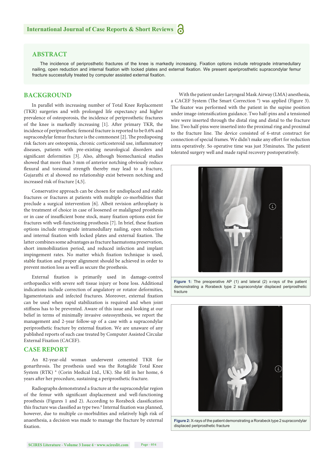#### **ABSTRACT**

The incidence of periprosthetic fractures of the knee is markedly increasing. Fixation options include retrograde intramedullary nailing, open reduction and internal fixation with locked plates and external fixation. We present aperiprosthetic supracondylar femur fracture successfully treated by computer assisted external fixation.

#### **BACKGROUND**

In parallel with increasing number of Total Knee Replacement (TKR) surgeries and with prolonged life expectancy and higher prevalence of osteoporosis, the incidence of periprosthetic fractures of the knee is markedly increasing [1]. After primary TKR, the incidence of periprosthetic femoral fracture is reported to be 0.6% and supracondylar femur fracture is the commonest [2]. The predisposing risk factors are osteopenia, chronic corticosteroid use, inflammatory diseases, patients with pre-existing neurological disorders and significant deformities [3]. Also, although biomechanical studies showed that more than 3 mm of anterior notching obviously reduce flexural and torsional strength thereby may lead to a fracture, Gujarathi et al showed no relationship exist between notching and increased risk of fracture [4,5].

Conservative approach can be chosen for undisplaced and stable fractures or fractures at patients with multiple co-morbidities that preclude a surgical intervention [6]. Albeit revision arthroplasty is the treatment of choice in case of loosened or malaligned prosthesis or in case of insufficient bone stock, many fixation options exist for fractures with well-functioning prosthesis [7]. In brief, these fixation options include retrograde intramedullary nailing, open reduction and internal fixation with locked plates and external fixation. The latter combines some advantages as fracture haematoma preservation, short immobilization period, and reduced infection and implant impingement rates. No matter which fixation technique is used, stable fixation and proper alignment should be achieved in order to prevent motion loss as well as secure the prosthesis.

External fixation is primarily used in damage-control orthopaedics with severe soft tissue injury or bone loss. Additional indications include correction of angulatory or rotator deformities, ligamentotaxis and infected fractures. Moreover, external fixation can be used when rapid stabilization is required and when joint stiffness has to be prevented. Aware of this issue and looking at our belief in terms of minimally invasive osteosynthesis, we report the management and 2-year follow-up of a case with a supracondylar periprosthetic fracture by external fixation. We are unaware of any published reports of such case treated by Computer Assisted Circular External Fixation (CACEF).

#### **CASE REPORT**

An 82-year-old woman underwent cemented TKR for gonarthrosis. The prosthesis used was the Rotaglide Total Knee System (RTK) ® (Corin Medical Ltd., UK). She fell in her home, 6 years after her procedure, sustaining a periprosthetic fracture.

Radiographs demonstrated a fracture at the supracondylar region of the femur with significant displacement and well-functioning prosthesis (Figures 1 and 2). According to Rorabeck classification this fracture was classified as type two.<sup>8</sup> Internal fixation was planned, however, due to multiple co-morbidities and relatively high risk of anaesthesia, a decision was made to manage the fracture by external fixation

With the patient under Laryngeal Mask Airway (LMA) anesthesia, a CACEF System (The Smart Correction  $\degree$ ) was applied (Figure 3). The fixator was performed with the patient in the supine position under image-intensification guidance. Two half-pins and a tensioned wire were inserted through the distal ring and distal to the fracture line. Two half-pins were inserted into the proximal ring and proximal to the fracture line. The device consisted of 6-strut construct for connection of special frames. We didn't make any effort for reduction intra operatively. So operative time was just 35minutes. The patient tolerated surgery well and made rapid recovery postoperatively.



Figure 1: The preoperative AP (1) and lateral (2) x-rays of the patient demonstrating a Rorabeck type 2 supracondylar displaced periprosthetic fracture



**Figure 2:** X-rays of the patient demonstrating a Rorabeck type 2 supracondylar displaced periprosthetic fracture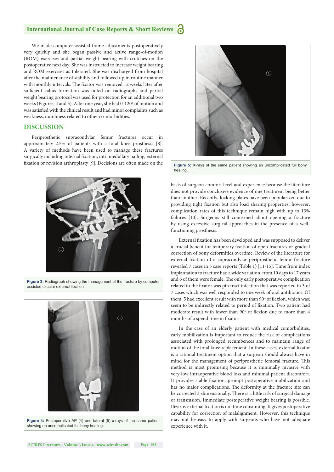#### **International Journal of Case Reports & Short Reviews**

We made computer assisted frame adjustments postoperatively very quickly and she began passive and active range-of-motion (ROM) exercises and partial weight bearing with crutches on the postoperative next day. She was instructed to increase weight bearing and ROM exercises as tolerated. She was discharged from hospital after the maintenance of stability and followed up in routine manner with monthly intervals. The fixator was removed 12 weeks later after sufficient callus formation was noted on radiographs and partial weight bearing protocol was used for protection for an additional two weeks (Figures. 4 and 5). After one year, she had 0-120° of motion and was satisfied with the clinical result and had minor complaints such as weakness, numbness related to other co-morbidities.

#### **DISCUSSION**

Periprosthetic supracondylar femur fractures occur in approximately 2.5% of patients with a total knee prosthesis [8]. A variety of methods have been used to manage these fractures surgically including internal fixation, intramedullary nailing, external fixation or revision arthroplasty [9]. Decisions are often made on the



**Figure 3:** Radiograph showing the management of the fracture by computer assisted circular external fixation



**Figure 4:** Postoperative AP (4) and lateral (5) x-rays of the same patient showing an uncomplicated full bony healing.



**Figure 5:** X-rays of the same patient showing an uncomplicated full bony healing.

basis of surgeon comfort level and experience because the literature does not provide conclusive evidence of one treatment being better than another. Recently, locking plates have been popularized due to providing tight fixation but also load sharing properties, however, complication rates of this technique remain high with up to 13% failures [10]. Surgeons still concerned about opening a fracture by using excessive surgical approaches in the presence of a wellfunctioning prosthesis.

External fixation has been developed and was supposed to deliver a crucial benefit for temporary fixation of open fractures or gradual correction of bony deformities overtime. Review of the literature for external fixation of a supracondylar periprosthetic femur fracture revealed 7 cases in 5 case reports (Table 1) [11-15]. Time from index implantation to fracture had a wide variation, from 10 days to 17 years and 6 of them were female. The only early postoperative complication related to the fixator was pin tract infection that was reported in 3 of 7 cases which was well responded to one week of oral antibiotics. Of them, 5 had excellent result with more than 90° of flexion, which was; seem to be indirectly related to period of fixation. Two patient had moderate result with lower than 90° of flexion due to more than 4 months of a spend time in fixator.

In the case of an elderly patient with medical comorbidities, early mobilization is important to reduce the risk of complications associated with prolonged recumbences and to maintain range of motion of the total knee replacement. In these cases, external fixator is a rational treatment option that a surgeon should always have in mind for the management of periprosthetic femoral fracture. This method is most promising because it is minimally invasive with very low intraoperative blood loss and minimal patient discomfort. It provides stable fixation, prompt postoperative mobilization and has no major complications. The deformity at the fracture site can be corrected 3-dimensionally. There is a little risk of surgical damage or transfusion. Immediate postoperative weight bearing is possible. Ilizarov external fixation is not time consuming. It gives postoperative capability for correction of malalignment. However, this technique may not be easy to apply with surgeons who have not adequate experience with it.